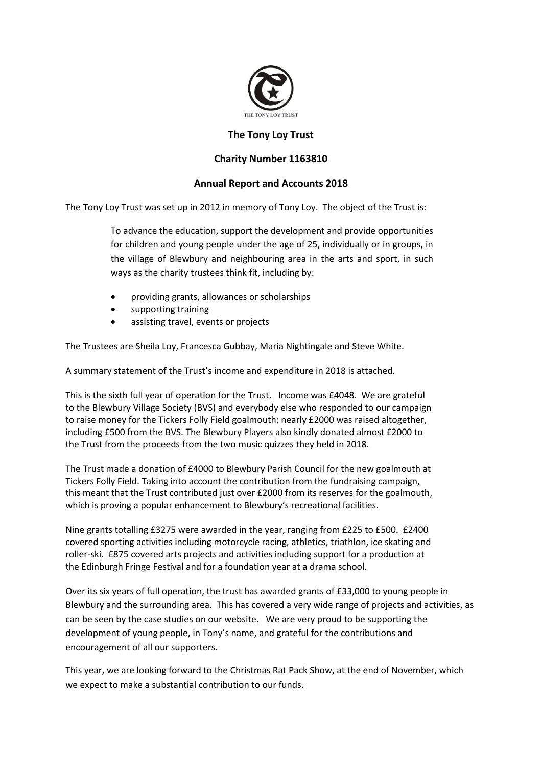

## **The Tony Loy Trust**

## **Charity Number 1163810**

## **Annual Report and Accounts 2018**

The Tony Loy Trust was set up in 2012 in memory of Tony Loy. The object of the Trust is:

To advance the education, support the development and provide opportunities for children and young people under the age of 25, individually or in groups, in the village of Blewbury and neighbouring area in the arts and sport, in such ways as the charity trustees think fit, including by:

- providing grants, allowances or scholarships
- supporting training
- assisting travel, events or projects

The Trustees are Sheila Loy, Francesca Gubbay, Maria Nightingale and Steve White.

A summary statement of the Trust's income and expenditure in 2018 is attached.

This is the sixth full year of operation for the Trust. Income was £4048. We are grateful to the Blewbury Village Society (BVS) and everybody else who responded to our campaign to raise money for the Tickers Folly Field goalmouth; nearly £2000 was raised altogether, including £500 from the BVS. The Blewbury Players also kindly donated almost £2000 to the Trust from the proceeds from the two music quizzes they held in 2018.

The Trust made a donation of £4000 to Blewbury Parish Council for the new goalmouth at Tickers Folly Field. Taking into account the contribution from the fundraising campaign, this meant that the Trust contributed just over £2000 from its reserves for the goalmouth, which is proving a popular enhancement to Blewbury's recreational facilities.

Nine grants totalling £3275 were awarded in the year, ranging from £225 to £500. £2400 covered sporting activities including motorcycle racing, athletics, triathlon, ice skating and roller-ski. £875 covered arts projects and activities including support for a production at the Edinburgh Fringe Festival and for a foundation year at a drama school.

Over its six years of full operation, the trust has awarded grants of £33,000 to young people in Blewbury and the surrounding area. This has covered a very wide range of projects and activities, as can be seen by the case studies on our website. We are very proud to be supporting the development of young people, in Tony's name, and grateful for the contributions and encouragement of all our supporters.

This year, we are looking forward to the Christmas Rat Pack Show, at the end of November, which we expect to make a substantial contribution to our funds.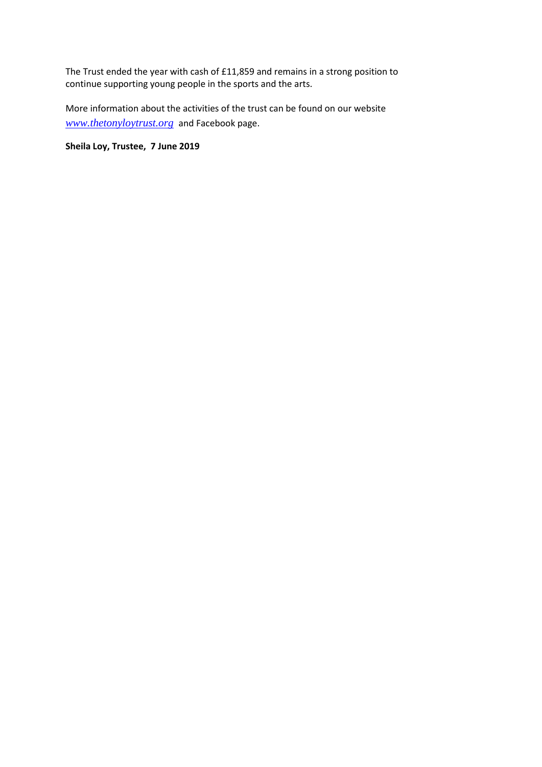The Trust ended the year with cash of £11,859 and remains in a strong position to continue supporting young people in the sports and the arts.

More information about the activities of the trust can be found on our website *[www.thetonyloytrust.org](http://www.thetonyloytrust.org/)* and Facebook page.

**Sheila Loy, Trustee, 7 June 2019**